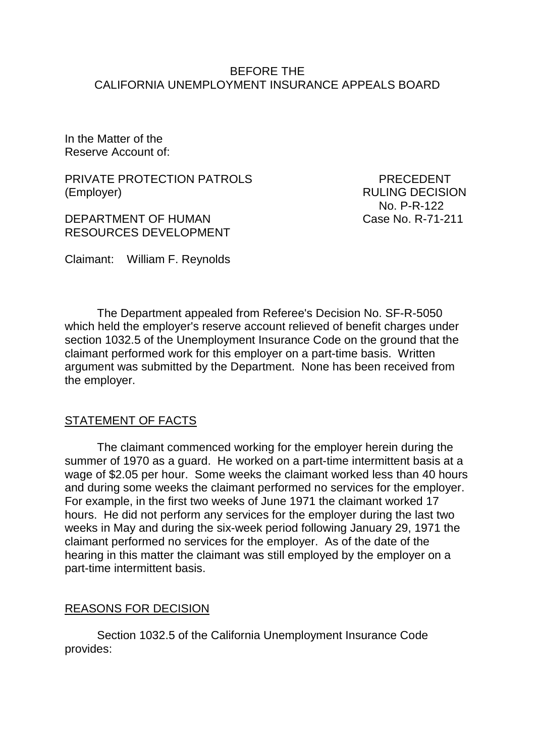#### BEFORE THE CALIFORNIA UNEMPLOYMENT INSURANCE APPEALS BOARD

In the Matter of the Reserve Account of:

PRIVATE PROTECTION PATROLS PRECEDENT (Employer) RULING DECISION

DEPARTMENT OF HUMAN Case No. R-71-211 RESOURCES DEVELOPMENT

No. P-R-122

Claimant: William F. Reynolds

The Department appealed from Referee's Decision No. SF-R-5050 which held the employer's reserve account relieved of benefit charges under section 1032.5 of the Unemployment Insurance Code on the ground that the claimant performed work for this employer on a part-time basis. Written argument was submitted by the Department. None has been received from the employer.

# STATEMENT OF FACTS

The claimant commenced working for the employer herein during the summer of 1970 as a guard. He worked on a part-time intermittent basis at a wage of \$2.05 per hour. Some weeks the claimant worked less than 40 hours and during some weeks the claimant performed no services for the employer. For example, in the first two weeks of June 1971 the claimant worked 17 hours. He did not perform any services for the employer during the last two weeks in May and during the six-week period following January 29, 1971 the claimant performed no services for the employer. As of the date of the hearing in this matter the claimant was still employed by the employer on a part-time intermittent basis.

# REASONS FOR DECISION

Section 1032.5 of the California Unemployment Insurance Code provides: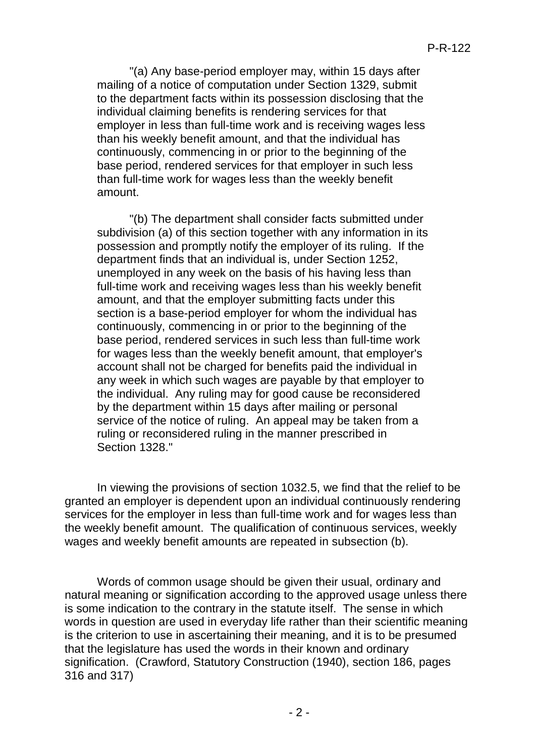"(a) Any base-period employer may, within 15 days after mailing of a notice of computation under Section 1329, submit to the department facts within its possession disclosing that the individual claiming benefits is rendering services for that employer in less than full-time work and is receiving wages less than his weekly benefit amount, and that the individual has continuously, commencing in or prior to the beginning of the base period, rendered services for that employer in such less than full-time work for wages less than the weekly benefit amount.

"(b) The department shall consider facts submitted under subdivision (a) of this section together with any information in its possession and promptly notify the employer of its ruling. If the department finds that an individual is, under Section 1252, unemployed in any week on the basis of his having less than full-time work and receiving wages less than his weekly benefit amount, and that the employer submitting facts under this section is a base-period employer for whom the individual has continuously, commencing in or prior to the beginning of the base period, rendered services in such less than full-time work for wages less than the weekly benefit amount, that employer's account shall not be charged for benefits paid the individual in any week in which such wages are payable by that employer to the individual. Any ruling may for good cause be reconsidered by the department within 15 days after mailing or personal service of the notice of ruling. An appeal may be taken from a ruling or reconsidered ruling in the manner prescribed in Section 1328."

In viewing the provisions of section 1032.5, we find that the relief to be granted an employer is dependent upon an individual continuously rendering services for the employer in less than full-time work and for wages less than the weekly benefit amount. The qualification of continuous services, weekly wages and weekly benefit amounts are repeated in subsection (b).

Words of common usage should be given their usual, ordinary and natural meaning or signification according to the approved usage unless there is some indication to the contrary in the statute itself. The sense in which words in question are used in everyday life rather than their scientific meaning is the criterion to use in ascertaining their meaning, and it is to be presumed that the legislature has used the words in their known and ordinary signification. (Crawford, Statutory Construction (1940), section 186, pages 316 and 317)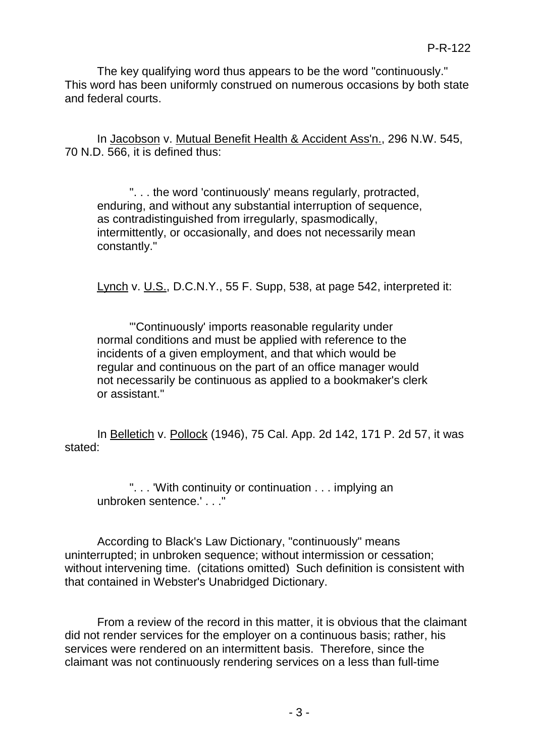The key qualifying word thus appears to be the word "continuously." This word has been uniformly construed on numerous occasions by both state and federal courts.

In Jacobson v. Mutual Benefit Health & Accident Ass'n., 296 N.W. 545, 70 N.D. 566, it is defined thus:

". . . the word 'continuously' means regularly, protracted, enduring, and without any substantial interruption of sequence, as contradistinguished from irregularly, spasmodically, intermittently, or occasionally, and does not necessarily mean constantly."

Lynch v. U.S., D.C.N.Y., 55 F. Supp, 538, at page 542, interpreted it:

"'Continuously' imports reasonable regularity under normal conditions and must be applied with reference to the incidents of a given employment, and that which would be regular and continuous on the part of an office manager would not necessarily be continuous as applied to a bookmaker's clerk or assistant."

In Belletich v. Pollock (1946), 75 Cal. App. 2d 142, 171 P. 2d 57, it was stated:

". . . 'With continuity or continuation . . . implying an unbroken sentence.' . . ."

According to Black's Law Dictionary, "continuously" means uninterrupted; in unbroken sequence; without intermission or cessation; without intervening time. (citations omitted) Such definition is consistent with that contained in Webster's Unabridged Dictionary.

From a review of the record in this matter, it is obvious that the claimant did not render services for the employer on a continuous basis; rather, his services were rendered on an intermittent basis. Therefore, since the claimant was not continuously rendering services on a less than full-time